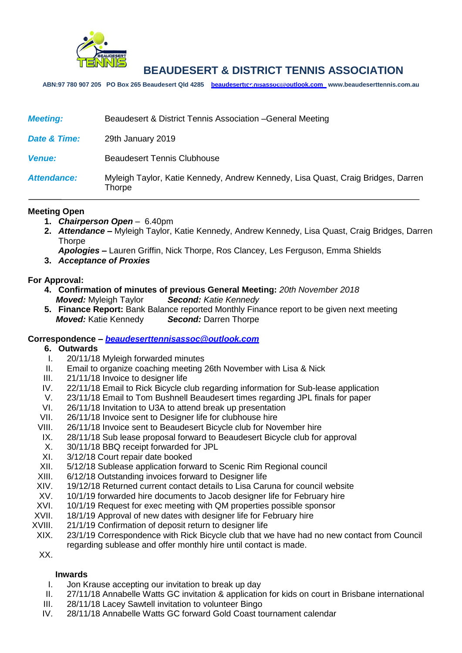

**ABN:97 780 907 205 PO Box 265 Beaudesert Qld 4285 [beaudeserttennisassoc@outlook.com](mailto:beaudeserttennisassoc@outlook.com) www.beaudeserttennis.com.au** *Agenda*

| <b>Meeting:</b>    | Beaudesert & District Tennis Association - General Meeting                                        |
|--------------------|---------------------------------------------------------------------------------------------------|
| Date & Time:       | 29th January 2019                                                                                 |
| <b>Venue:</b>      | <b>Beaudesert Tennis Clubhouse</b>                                                                |
| <b>Attendance:</b> | Myleigh Taylor, Katie Kennedy, Andrew Kennedy, Lisa Quast, Craig Bridges, Darren<br><b>Thorpe</b> |

### **Meeting Open**

- **1.** *Chairperson Open* 6.40pm
- **2.** *Attendance –* Myleigh Taylor, Katie Kennedy, Andrew Kennedy, Lisa Quast, Craig Bridges, Darren **Thorpe**

*Apologies –* Lauren Griffin, Nick Thorpe, Ros Clancey, Les Ferguson, Emma Shields

**3.** *Acceptance of Proxies* 

## **For Approval:**

- **4. Confirmation of minutes of previous General Meeting:** *20th November 2018 Moved:* Myleigh Taylor *Second: Katie Kennedy*
- **5. Finance Report:** Bank Balance reported Monthly Finance report to be given next meeting *Moved:* Katie Kennedy *Second:* Darren Thorpe

### **Correspondence –** *[beaudeserttennisassoc@outlook.com](mailto:beaudeserttennisassoc@outlook.com)*

- **6. Outwards**
	- I. 20/11/18 Myleigh forwarded minutes
- II. Email to organize coaching meeting 26th November with Lisa & Nick
- III. 21/11/18 Invoice to designer life
- IV. 22/11/18 Email to Rick Bicycle club regarding information for Sub-lease application
- V. 23/11/18 Email to Tom Bushnell Beaudesert times regarding JPL finals for paper
- VI. 26/11/18 Invitation to U3A to attend break up presentation
- VII. 26/11/18 Invoice sent to Designer life for clubhouse hire
- VIII. 26/11/18 Invoice sent to Beaudesert Bicycle club for November hire
- IX. 28/11/18 Sub lease proposal forward to Beaudesert Bicycle club for approval
- X. 30/11/18 BBQ receipt forwarded for JPL
- XI. 3/12/18 Court repair date booked
- XII. 5/12/18 Sublease application forward to Scenic Rim Regional council
- XIII. 6/12/18 Outstanding invoices forward to Designer life
- XIV. 19/12/18 Returned current contact details to Lisa Caruna for council website<br>XV. 10/1/19 forwarded hire documents to Jacob designer life for February hire
- 10/1/19 forwarded hire documents to Jacob designer life for February hire
- XVI. 10/1/19 Request for exec meeting with QM properties possible sponsor
- XVII. 18/1/19 Approval of new dates with designer life for February hire
- XVIII. 21/1/19 Confirmation of deposit return to designer life
- XIX. 23/1/19 Correspondence with Rick Bicycle club that we have had no new contact from Council regarding sublease and offer monthly hire until contact is made.

XX.

## **Inwards**

- I. Jon Krause accepting our invitation to break up day
- II. 27/11/18 Annabelle Watts GC invitation & application for kids on court in Brisbane international
- III. 28/11/18 Lacey Sawtell invitation to volunteer Bingo
- IV. 28/11/18 Annabelle Watts GC forward Gold Coast tournament calendar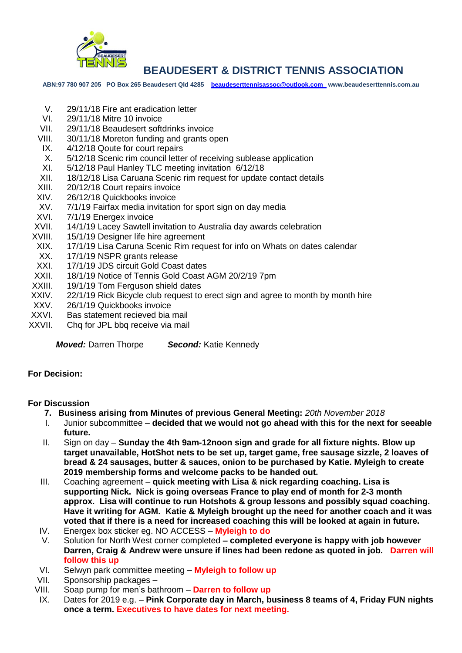

**ABN:97 780 907 205 PO Box 265 Beaudesert Qld 4285 [beaudeserttennisassoc@outlook.com](mailto:beaudeserttennisassoc@outlook.com) www.beaudeserttennis.com.au**

- V. 29/11/18 Fire ant eradication letter
- VI. 29/11/18 Mitre 10 invoice
- VII. 29/11/18 Beaudesert softdrinks invoice
- VIII. 30/11/18 Moreton funding and grants open
- IX. 4/12/18 Qoute for court repairs
- X. 5/12/18 Scenic rim council letter of receiving sublease application
- XI. 5/12/18 Paul Hanley TLC meeting invitation 6/12/18
- XII. 18/12/18 Lisa Caruana Scenic rim request for update contact details
- XIII. 20/12/18 Court repairs invoice
- XIV. 26/12/18 Quickbooks invoice
- XV. 7/1/19 Fairfax media invitation for sport sign on day media<br>XVI. 7/1/19 Energex invoice
- 7/1/19 Energex invoice
- XVII. 14/1/19 Lacey Sawtell invitation to Australia day awards celebration
- XVIII. 15/1/19 Designer life hire agreement
- XIX. 17/1/19 Lisa Caruna Scenic Rim request for info on Whats on dates calendar
- XX. 17/1/19 NSPR grants release
- XXI. 17/1/19 JDS circuit Gold Coast dates
- XXII. 18/1/19 Notice of Tennis Gold Coast AGM 20/2/19 7pm
- XXIII. 19/1/19 Tom Ferguson shield dates
- XXIV. 22/1/19 Rick Bicycle club request to erect sign and agree to month by month hire<br>XXV. 26/1/19 Quickbooks invoice
- 26/1/19 Quickbooks invoice
- XXVI. Bas statement recieved bia mail
- XXVII. Chq for JPL bbq receive via mail

*Moved:* Darren Thorpe *Second:* Katie Kennedy

### **For Decision:**

# **For Discussion**

- **7. Business arising from Minutes of previous General Meeting:** *20th November 2018*
- I. Junior subcommittee **decided that we would not go ahead with this for the next for seeable future.**
- II. Sign on day **Sunday the 4th 9am-12noon sign and grade for all fixture nights. Blow up target unavailable, HotShot nets to be set up, target game, free sausage sizzle, 2 loaves of bread & 24 sausages, butter & sauces, onion to be purchased by Katie. Myleigh to create 2019 membership forms and welcome packs to be handed out.**
- III. Coaching agreement **quick meeting with Lisa & nick regarding coaching. Lisa is supporting Nick. Nick is going overseas France to play end of month for 2-3 month approx. Lisa will continue to run Hotshots & group lessons and possibly squad coaching. Have it writing for AGM. Katie & Myleigh brought up the need for another coach and it was voted that if there is a need for increased coaching this will be looked at again in future.**
- IV. Energex box sticker eg. NO ACCESS **Myleigh to do**
- V. Solution for North West corner completed **– completed everyone is happy with job however Darren, Craig & Andrew were unsure if lines had been redone as quoted in job. Darren will follow this up**
- VI. Selwyn park committee meeting **Myleigh to follow up**
- VII. Sponsorship packages –
- VIII. Soap pump for men's bathroom **Darren to follow up**
- IX. Dates for 2019 e.g. **Pink Corporate day in March, business 8 teams of 4, Friday FUN nights once a term. Executives to have dates for next meeting.**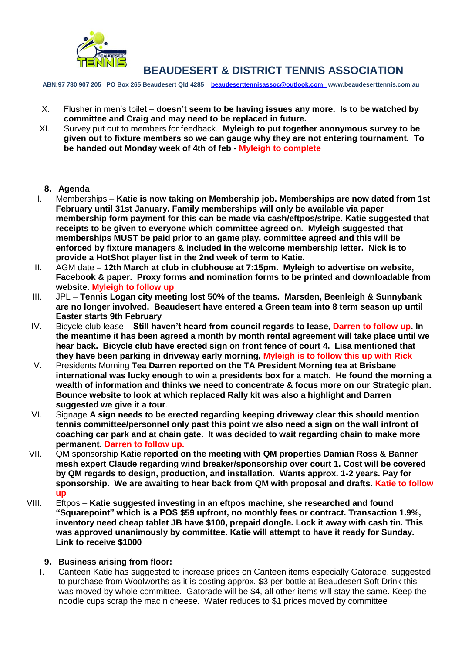

**ABN:97 780 907 205 PO Box 265 Beaudesert Qld 4285 [beaudeserttennisassoc@outlook.com](mailto:beaudeserttennisassoc@outlook.com) www.beaudeserttennis.com.au**

- X. Flusher in men's toilet **doesn't seem to be having issues any more. Is to be watched by committee and Craig and may need to be replaced in future.**
- XI. Survey put out to members for feedback. **Myleigh to put together anonymous survey to be given out to fixture members so we can gauge why they are not entering tournament. To be handed out Monday week of 4th of feb - Myleigh to complete**

# **8. Agenda**

- I. Memberships **Katie is now taking on Membership job. Memberships are now dated from 1st February until 31st January. Family memberships will only be available via paper membership form payment for this can be made via cash/eftpos/stripe. Katie suggested that receipts to be given to everyone which committee agreed on. Myleigh suggested that memberships MUST be paid prior to an game play, committee agreed and this will be enforced by fixture managers & included in the welcome membership letter. Nick is to provide a HotShot player list in the 2nd week of term to Katie.**
- II. AGM date **12th March at club in clubhouse at 7:15pm. Myleigh to advertise on website, Facebook & paper. Proxy forms and nomination forms to be printed and downloadable from website**. **Myleigh to follow up**
- III. JPL **Tennis Logan city meeting lost 50% of the teams. Marsden, Beenleigh & Sunnybank are no longer involved. Beaudesert have entered a Green team into 8 term season up until Easter starts 9th February**
- IV. Bicycle club lease **Still haven't heard from council regards to lease, Darren to follow up. In the meantime it has been agreed a month by month rental agreement will take place until we hear back. Bicycle club have erected sign on front fence of court 4. Lisa mentioned that they have been parking in driveway early morning, Myleigh is to follow this up with Rick**
- V. Presidents Morning **Tea Darren reported on the TA President Morning tea at Brisbane international was lucky enough to win a presidents box for a match. He found the morning a wealth of information and thinks we need to concentrate & focus more on our Strategic plan. Bounce website to look at which replaced Rally kit was also a highlight and Darren suggested we give it a tour**.
- VI. Signage **A sign needs to be erected regarding keeping driveway clear this should mention tennis committee/personnel only past this point we also need a sign on the wall infront of coaching car park and at chain gate. It was decided to wait regarding chain to make more permanent. Darren to follow up.**
- VII. QM sponsorship **Katie reported on the meeting with QM properties Damian Ross & Banner mesh expert Claude regarding wind breaker/sponsorship over court 1. Cost will be covered by QM regards to design, production, and installation. Wants approx. 1-2 years. Pay for sponsorship. We are awaiting to hear back from QM with proposal and drafts. Katie to follow up**
- VIII. Eftpos **Katie suggested investing in an eftpos machine, she researched and found "Squarepoint" which is a POS \$59 upfront, no monthly fees or contract. Transaction 1.9%, inventory need cheap tablet JB have \$100, prepaid dongle. Lock it away with cash tin. This was approved unanimously by committee. Katie will attempt to have it ready for Sunday. Link to receive \$1000**

# **9. Business arising from floor:**

I. Canteen Katie has suggested to increase prices on Canteen items especially Gatorade, suggested to purchase from Woolworths as it is costing approx. \$3 per bottle at Beaudesert Soft Drink this was moved by whole committee. Gatorade will be \$4, all other items will stay the same. Keep the noodle cups scrap the mac n cheese. Water reduces to \$1 prices moved by committee